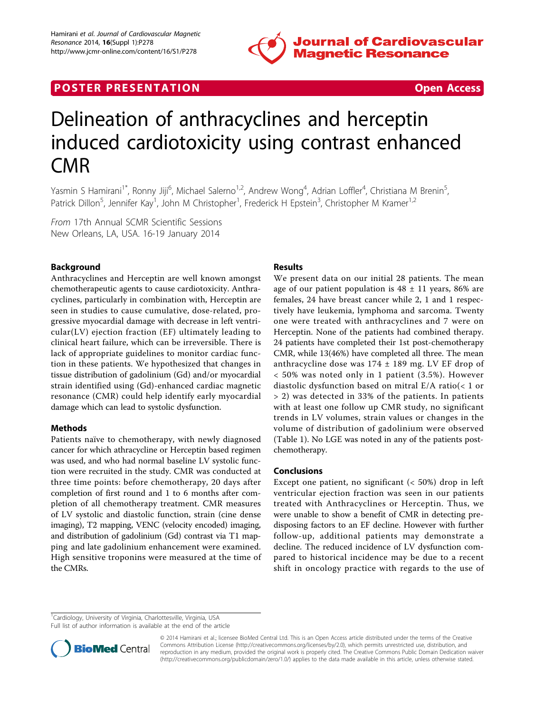

# **POSTER PRESENTATION CONSUMING THE SECOND CONSUMING THE SECOND CONSUMING THE SECOND CONSUMING THE SECOND CONSUMING THE SECOND CONSUMING THE SECOND CONSUMING THE SECOND CONSUMING THE SECOND CONSUMING THE SECOND CONSUMING**

# Delineation of anthracyclines and herceptin induced cardiotoxicity using contrast enhanced CMR

Yasmin S Hamirani<sup>1\*</sup>, Ronny Jiji<sup>6</sup>, Michael Salerno<sup>1,2</sup>, Andrew Wong<sup>4</sup>, Adrian Loffler<sup>4</sup>, Christiana M Brenin<sup>5</sup> , Patrick Dillon<sup>5</sup>, Jennifer Kay<sup>1</sup>, John M Christopher<sup>1</sup>, Frederick H Epstein<sup>3</sup>, Christopher M Kramer<sup>1,2</sup>

From 17th Annual SCMR Scientific Sessions New Orleans, LA, USA. 16-19 January 2014

# Background

Anthracyclines and Herceptin are well known amongst chemotherapeutic agents to cause cardiotoxicity. Anthracyclines, particularly in combination with, Herceptin are seen in studies to cause cumulative, dose-related, progressive myocardial damage with decrease in left ventricular(LV) ejection fraction (EF) ultimately leading to clinical heart failure, which can be irreversible. There is lack of appropriate guidelines to monitor cardiac function in these patients. We hypothesized that changes in tissue distribution of gadolinium (Gd) and/or myocardial strain identified using (Gd)-enhanced cardiac magnetic resonance (CMR) could help identify early myocardial damage which can lead to systolic dysfunction.

## Methods

Patients naïve to chemotherapy, with newly diagnosed cancer for which athracycline or Herceptin based regimen was used, and who had normal baseline LV systolic function were recruited in the study. CMR was conducted at three time points: before chemotherapy, 20 days after completion of first round and 1 to 6 months after completion of all chemotherapy treatment. CMR measures of LV systolic and diastolic function, strain (cine dense imaging), T2 mapping, VENC (velocity encoded) imaging, and distribution of gadolinium (Gd) contrast via T1 mapping and late gadolinium enhancement were examined. High sensitive troponins were measured at the time of the CMRs.

## Results

We present data on our initial 28 patients. The mean age of our patient population is  $48 \pm 11$  years, 86% are females, 24 have breast cancer while 2, 1 and 1 respectively have leukemia, lymphoma and sarcoma. Twenty one were treated with anthracyclines and 7 were on Herceptin. None of the patients had combined therapy. 24 patients have completed their 1st post-chemotherapy CMR, while 13(46%) have completed all three. The mean anthracycline dose was 174 ± 189 mg. LV EF drop of < 50% was noted only in 1 patient (3.5%). However diastolic dysfunction based on mitral E/A ratio(< 1 or > 2) was detected in 33% of the patients. In patients with at least one follow up CMR study, no significant trends in LV volumes, strain values or changes in the volume of distribution of gadolinium were observed (Table [1\)](#page-1-0). No LGE was noted in any of the patients postchemotherapy.

#### Conclusions

Except one patient, no significant  $( $50\%$ ) drop in left$ ventricular ejection fraction was seen in our patients treated with Anthracyclines or Herceptin. Thus, we were unable to show a benefit of CMR in detecting predisposing factors to an EF decline. However with further follow-up, additional patients may demonstrate a decline. The reduced incidence of LV dysfunction compared to historical incidence may be due to a recent shift in oncology practice with regards to the use of

<sup>1</sup>Cardiology, University of Virginia, Charlottesville, Virginia, USA

Full list of author information is available at the end of the article



© 2014 Hamirani et al.; licensee BioMed Central Ltd. This is an Open Access article distributed under the terms of the Creative Commons Attribution License [\(http://creativecommons.org/licenses/by/2.0](http://creativecommons.org/licenses/by/2.0)), which permits unrestricted use, distribution, and reproduction in any medium, provided the original work is properly cited. The Creative Commons Public Domain Dedication waiver [\(http://creativecommons.org/publicdomain/zero/1.0/](http://creativecommons.org/publicdomain/zero/1.0/)) applies to the data made available in this article, unless otherwise stated.